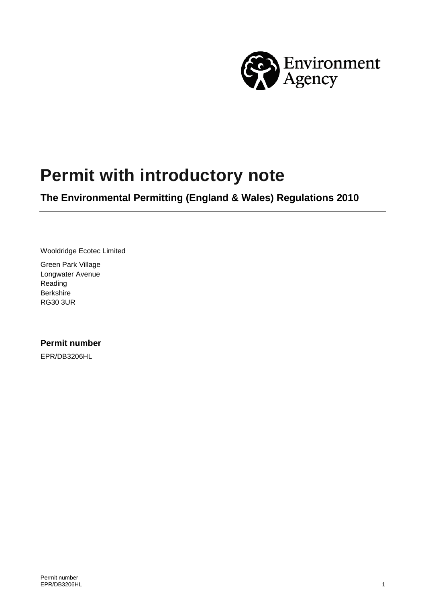

# **Permit with introductory note**

**The Environmental Permitting (England & Wales) Regulations 2010**

Wooldridge Ecotec Limited

Green Park Village Longwater Avenue Reading Berkshire RG30 3UR

#### **Permit number**

EPR/DB3206HL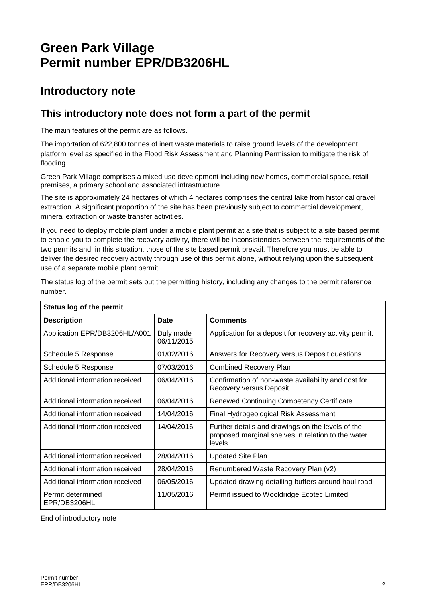## **Green Park Village Permit number EPR/DB3206HL**

### **Introductory note**

#### **This introductory note does not form a part of the permit**

The main features of the permit are as follows.

The importation of 622,800 tonnes of inert waste materials to raise ground levels of the development platform level as specified in the Flood Risk Assessment and Planning Permission to mitigate the risk of flooding.

Green Park Village comprises a mixed use development including new homes, commercial space, retail premises, a primary school and associated infrastructure.

The site is approximately 24 hectares of which 4 hectares comprises the central lake from historical gravel extraction. A significant proportion of the site has been previously subject to commercial development, mineral extraction or waste transfer activities.

If you need to deploy mobile plant under a mobile plant permit at a site that is subject to a site based permit to enable you to complete the recovery activity, there will be inconsistencies between the requirements of the two permits and, in this situation, those of the site based permit prevail. Therefore you must be able to deliver the desired recovery activity through use of this permit alone, without relying upon the subsequent use of a separate mobile plant permit.

| <b>Status log of the permit</b>   |                         |                                                                                                                   |
|-----------------------------------|-------------------------|-------------------------------------------------------------------------------------------------------------------|
| <b>Description</b>                | Date                    | <b>Comments</b>                                                                                                   |
| Application EPR/DB3206HL/A001     | Duly made<br>06/11/2015 | Application for a deposit for recovery activity permit.                                                           |
| Schedule 5 Response               | 01/02/2016              | Answers for Recovery versus Deposit questions                                                                     |
| Schedule 5 Response               | 07/03/2016              | <b>Combined Recovery Plan</b>                                                                                     |
| Additional information received   | 06/04/2016              | Confirmation of non-waste availability and cost for<br>Recovery versus Deposit                                    |
| Additional information received   | 06/04/2016              | Renewed Continuing Competency Certificate                                                                         |
| Additional information received   | 14/04/2016              | Final Hydrogeological Risk Assessment                                                                             |
| Additional information received   | 14/04/2016              | Further details and drawings on the levels of the<br>proposed marginal shelves in relation to the water<br>levels |
| Additional information received   | 28/04/2016              | <b>Updated Site Plan</b>                                                                                          |
| Additional information received   | 28/04/2016              | Renumbered Waste Recovery Plan (v2)                                                                               |
| Additional information received   | 06/05/2016              | Updated drawing detailing buffers around haul road                                                                |
| Permit determined<br>EPR/DB3206HL | 11/05/2016              | Permit issued to Wooldridge Ecotec Limited.                                                                       |

The status log of the permit sets out the permitting history, including any changes to the permit reference number.

End of introductory note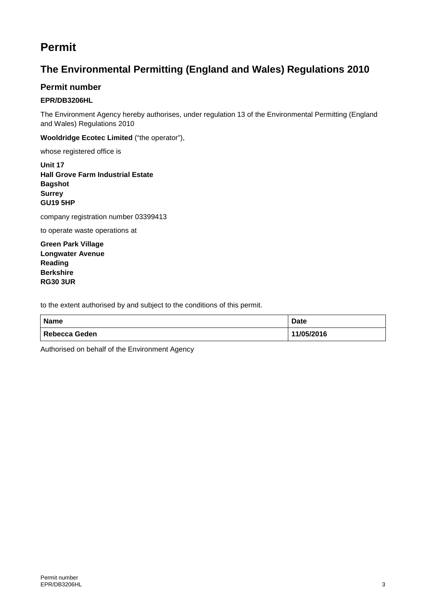### **Permit**

### **The Environmental Permitting (England and Wales) Regulations 2010**

#### **Permit number**

#### **EPR/DB3206HL**

The Environment Agency hereby authorises, under regulation 13 of the Environmental Permitting (England and Wales) Regulations 2010

**Wooldridge Ecotec Limited** ("the operator"),

whose registered office is

**Unit 17 Hall Grove Farm Industrial Estate Bagshot Surrey GU19 5HP**

company registration number 03399413

to operate waste operations at

**Green Park Village Longwater Avenue Reading Berkshire RG30 3UR**

to the extent authorised by and subject to the conditions of this permit.

| <b>Name</b>   | <b>Date</b> |
|---------------|-------------|
| Rebecca Geden | 11/05/2016  |

Authorised on behalf of the Environment Agency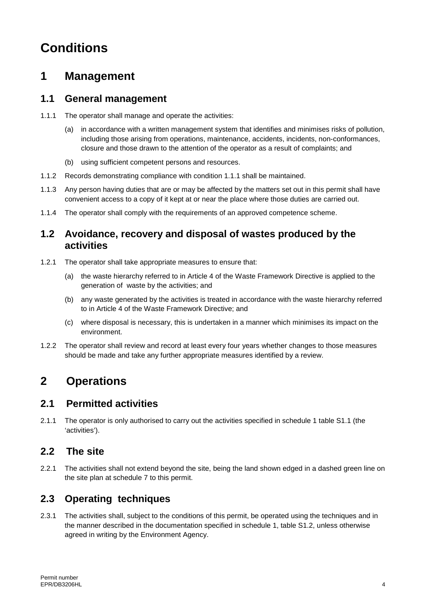## **Conditions**

### **1 Management**

#### **1.1 General management**

- 1.1.1 The operator shall manage and operate the activities:
	- (a) in accordance with a written management system that identifies and minimises risks of pollution, including those arising from operations, maintenance, accidents, incidents, non-conformances, closure and those drawn to the attention of the operator as a result of complaints; and
	- (b) using sufficient competent persons and resources.
- 1.1.2 Records demonstrating compliance with condition 1.1.1 shall be maintained.
- 1.1.3 Any person having duties that are or may be affected by the matters set out in this permit shall have convenient access to a copy of it kept at or near the place where those duties are carried out.
- 1.1.4 The operator shall comply with the requirements of an approved competence scheme.

#### **1.2 Avoidance, recovery and disposal of wastes produced by the activities**

- 1.2.1 The operator shall take appropriate measures to ensure that:
	- (a) the waste hierarchy referred to in Article 4 of the Waste Framework Directive is applied to the generation of waste by the activities; and
	- (b) any waste generated by the activities is treated in accordance with the waste hierarchy referred to in Article 4 of the Waste Framework Directive; and
	- (c) where disposal is necessary, this is undertaken in a manner which minimises its impact on the environment.
- 1.2.2 The operator shall review and record at least every four years whether changes to those measures should be made and take any further appropriate measures identified by a review.

## **2 Operations**

#### **2.1 Permitted activities**

2.1.1 The operator is only authorised to carry out the activities specified in schedule 1 table S1.1 (the 'activities').

#### 2.2 The site

2.2.1 The activities shall not extend beyond the site, being the land shown edged in a dashed green line on the site plan at schedule 7 to this permit.

#### **2.3 Operating techniques**

2.3.1 The activities shall, subject to the conditions of this permit, be operated using the techniques and in the manner described in the documentation specified in schedule 1, table S1.2, unless otherwise agreed in writing by the Environment Agency.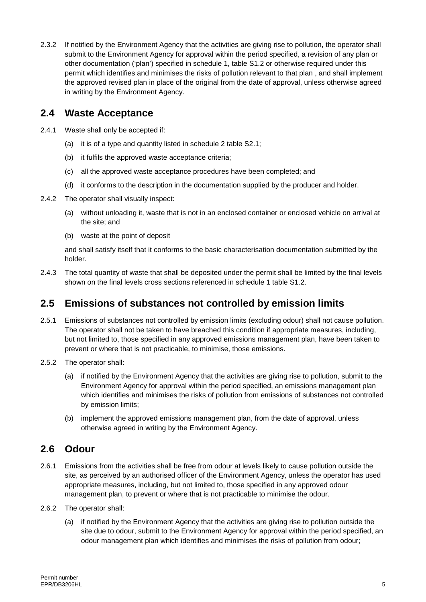2.3.2 If notified by the Environment Agency that the activities are giving rise to pollution, the operator shall submit to the Environment Agency for approval within the period specified, a revision of any plan or other documentation ('plan') specified in schedule 1, table S1.2 or otherwise required under this permit which identifies and minimises the risks of pollution relevant to that plan , and shall implement the approved revised plan in place of the original from the date of approval, unless otherwise agreed in writing by the Environment Agency.

#### **2.4 Waste Acceptance**

- 2.4.1 Waste shall only be accepted if:
	- (a) it is of a type and quantity listed in schedule 2 table S2.1;
	- (b) it fulfils the approved waste acceptance criteria;
	- (c) all the approved waste acceptance procedures have been completed; and
	- (d) it conforms to the description in the documentation supplied by the producer and holder.
- 2.4.2 The operator shall visually inspect:
	- (a) without unloading it, waste that is not in an enclosed container or enclosed vehicle on arrival at the site; and
	- (b) waste at the point of deposit

and shall satisfy itself that it conforms to the basic characterisation documentation submitted by the holder.

2.4.3 The total quantity of waste that shall be deposited under the permit shall be limited by the final levels shown on the final levels cross sections referenced in schedule 1 table S1.2.

#### **2.5 Emissions of substances not controlled by emission limits**

- 2.5.1 Emissions of substances not controlled by emission limits (excluding odour) shall not cause pollution. The operator shall not be taken to have breached this condition if appropriate measures, including, but not limited to, those specified in any approved emissions management plan, have been taken to prevent or where that is not practicable, to minimise, those emissions.
- 2.5.2 The operator shall:
	- (a) if notified by the Environment Agency that the activities are giving rise to pollution, submit to the Environment Agency for approval within the period specified, an emissions management plan which identifies and minimises the risks of pollution from emissions of substances not controlled by emission limits;
	- (b) implement the approved emissions management plan, from the date of approval, unless otherwise agreed in writing by the Environment Agency.

#### **2.6 Odour**

- 2.6.1 Emissions from the activities shall be free from odour at levels likely to cause pollution outside the site, as perceived by an authorised officer of the Environment Agency, unless the operator has used appropriate measures, including, but not limited to, those specified in any approved odour management plan, to prevent or where that is not practicable to minimise the odour.
- 2.6.2 The operator shall:
	- (a) if notified by the Environment Agency that the activities are giving rise to pollution outside the site due to odour, submit to the Environment Agency for approval within the period specified, an odour management plan which identifies and minimises the risks of pollution from odour;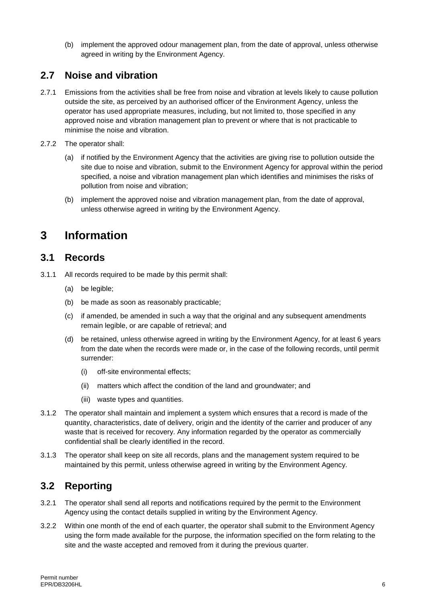(b) implement the approved odour management plan, from the date of approval, unless otherwise agreed in writing by the Environment Agency.

#### **2.7 Noise and vibration**

- 2.7.1 Emissions from the activities shall be free from noise and vibration at levels likely to cause pollution outside the site, as perceived by an authorised officer of the Environment Agency, unless the operator has used appropriate measures, including, but not limited to, those specified in any approved noise and vibration management plan to prevent or where that is not practicable to minimise the noise and vibration.
- 2.7.2 The operator shall:
	- (a) if notified by the Environment Agency that the activities are giving rise to pollution outside the site due to noise and vibration, submit to the Environment Agency for approval within the period specified, a noise and vibration management plan which identifies and minimises the risks of pollution from noise and vibration;
	- (b) implement the approved noise and vibration management plan, from the date of approval, unless otherwise agreed in writing by the Environment Agency.

### **3 Information**

#### **3.1 Records**

3.1.1 All records required to be made by this permit shall:

- (a) be legible;
- (b) be made as soon as reasonably practicable;
- (c) if amended, be amended in such a way that the original and any subsequent amendments remain legible, or are capable of retrieval; and
- (d) be retained, unless otherwise agreed in writing by the Environment Agency, for at least 6 years from the date when the records were made or, in the case of the following records, until permit surrender:
	- (i) off-site environmental effects;
	- (ii) matters which affect the condition of the land and groundwater; and
	- (iii) waste types and quantities.
- 3.1.2 The operator shall maintain and implement a system which ensures that a record is made of the quantity, characteristics, date of delivery, origin and the identity of the carrier and producer of any waste that is received for recovery. Any information regarded by the operator as commercially confidential shall be clearly identified in the record.
- 3.1.3 The operator shall keep on site all records, plans and the management system required to be maintained by this permit, unless otherwise agreed in writing by the Environment Agency.

#### **3.2 Reporting**

- 3.2.1 The operator shall send all reports and notifications required by the permit to the Environment Agency using the contact details supplied in writing by the Environment Agency.
- 3.2.2 Within one month of the end of each quarter, the operator shall submit to the Environment Agency using the form made available for the purpose, the information specified on the form relating to the site and the waste accepted and removed from it during the previous quarter.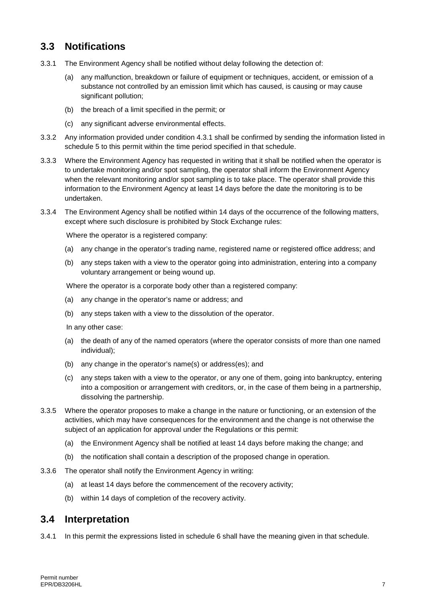#### **3.3 Notifications**

- 3.3.1 The Environment Agency shall be notified without delay following the detection of:
	- (a) any malfunction, breakdown or failure of equipment or techniques, accident, or emission of a substance not controlled by an emission limit which has caused, is causing or may cause significant pollution;
	- (b) the breach of a limit specified in the permit; or
	- (c) any significant adverse environmental effects.
- 3.3.2 Any information provided under condition 4.3.1 shall be confirmed by sending the information listed in schedule 5 to this permit within the time period specified in that schedule.
- 3.3.3 Where the Environment Agency has requested in writing that it shall be notified when the operator is to undertake monitoring and/or spot sampling, the operator shall inform the Environment Agency when the relevant monitoring and/or spot sampling is to take place. The operator shall provide this information to the Environment Agency at least 14 days before the date the monitoring is to be undertaken.
- 3.3.4 The Environment Agency shall be notified within 14 days of the occurrence of the following matters, except where such disclosure is prohibited by Stock Exchange rules:

Where the operator is a registered company:

- (a) any change in the operator's trading name, registered name or registered office address; and
- (b) any steps taken with a view to the operator going into administration, entering into a company voluntary arrangement or being wound up.

Where the operator is a corporate body other than a registered company:

- (a) any change in the operator's name or address; and
- (b) any steps taken with a view to the dissolution of the operator.

In any other case:

- (a) the death of any of the named operators (where the operator consists of more than one named individual);
- (b) any change in the operator's name(s) or address(es); and
- (c) any steps taken with a view to the operator, or any one of them, going into bankruptcy, entering into a composition or arrangement with creditors, or, in the case of them being in a partnership, dissolving the partnership.
- 3.3.5 Where the operator proposes to make a change in the nature or functioning, or an extension of the activities, which may have consequences for the environment and the change is not otherwise the subject of an application for approval under the Regulations or this permit:
	- (a) the Environment Agency shall be notified at least 14 days before making the change; and
	- (b) the notification shall contain a description of the proposed change in operation.
- 3.3.6 The operator shall notify the Environment Agency in writing:
	- (a) at least 14 days before the commencement of the recovery activity;
	- (b) within 14 days of completion of the recovery activity.

#### **3.4 Interpretation**

3.4.1 In this permit the expressions listed in schedule 6 shall have the meaning given in that schedule.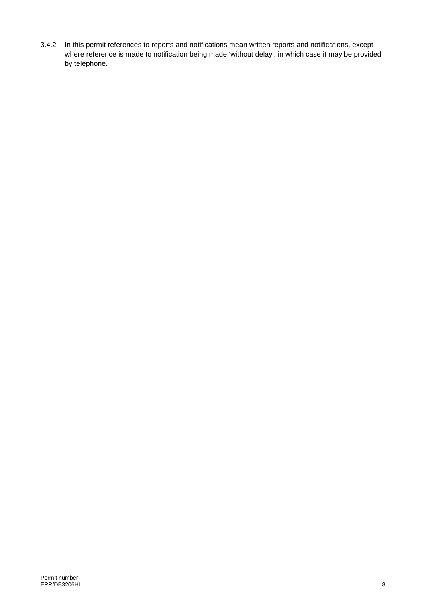3.4.2 In this permit references to reports and notifications mean written reports and notifications, except where reference is made to notification being made 'without delay', in which case it may be provided by telephone.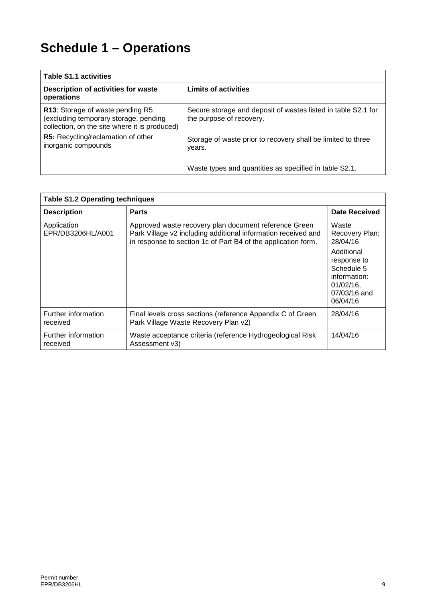# **Schedule 1 – Operations**

| <b>Table S1.1 activities</b>                                                                                               |                                                                                           |
|----------------------------------------------------------------------------------------------------------------------------|-------------------------------------------------------------------------------------------|
| Description of activities for waste<br>operations                                                                          | <b>Limits of activities</b>                                                               |
| R13: Storage of waste pending R5<br>(excluding temporary storage, pending<br>collection, on the site where it is produced) | Secure storage and deposit of wastes listed in table S2.1 for<br>the purpose of recovery. |
| R5: Recycling/reclamation of other<br>inorganic compounds                                                                  | Storage of waste prior to recovery shall be limited to three<br>years.                    |
|                                                                                                                            | Waste types and quantities as specified in table S2.1.                                    |

| <b>Table S1.2 Operating techniques</b> |                                                                                                                                                                                         |                                                                                                     |
|----------------------------------------|-----------------------------------------------------------------------------------------------------------------------------------------------------------------------------------------|-----------------------------------------------------------------------------------------------------|
| <b>Description</b>                     | <b>Parts</b>                                                                                                                                                                            | Date Received                                                                                       |
| Application<br>EPR/DB3206HL/A001       | Approved waste recovery plan document reference Green<br>Park Village v2 including additional information received and<br>in response to section 1c of Part B4 of the application form. | Waste<br>Recovery Plan:<br>28/04/16                                                                 |
|                                        |                                                                                                                                                                                         | Additional<br>response to<br>Schedule 5<br>information:<br>$01/02/16$ ,<br>07/03/16 and<br>06/04/16 |
| Further information<br>received        | Final levels cross sections (reference Appendix C of Green<br>Park Village Waste Recovery Plan v2)                                                                                      | 28/04/16                                                                                            |
| Further information<br>received        | Waste acceptance criteria (reference Hydrogeological Risk<br>Assessment v3)                                                                                                             | 14/04/16                                                                                            |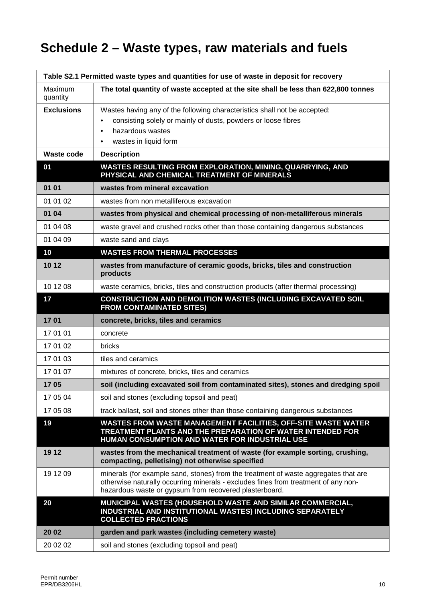# **Schedule 2 – Waste types, raw materials and fuels**

| Table S2.1 Permitted waste types and quantities for use of waste in deposit for recovery |                                                                                                                                                                                                                                     |  |
|------------------------------------------------------------------------------------------|-------------------------------------------------------------------------------------------------------------------------------------------------------------------------------------------------------------------------------------|--|
| Maximum<br>quantity                                                                      | The total quantity of waste accepted at the site shall be less than 622,800 tonnes                                                                                                                                                  |  |
| <b>Exclusions</b>                                                                        | Wastes having any of the following characteristics shall not be accepted:                                                                                                                                                           |  |
|                                                                                          | consisting solely or mainly of dusts, powders or loose fibres<br>$\bullet$                                                                                                                                                          |  |
|                                                                                          | hazardous wastes<br>$\bullet$<br>wastes in liquid form<br>٠                                                                                                                                                                         |  |
| <b>Waste code</b>                                                                        | <b>Description</b>                                                                                                                                                                                                                  |  |
| 01                                                                                       | <b>WASTES RESULTING FROM EXPLORATION, MINING, QUARRYING, AND</b><br>PHYSICAL AND CHEMICAL TREATMENT OF MINERALS                                                                                                                     |  |
| 01 01                                                                                    | wastes from mineral excavation                                                                                                                                                                                                      |  |
| 01 01 02                                                                                 | wastes from non metalliferous excavation                                                                                                                                                                                            |  |
| 01 04                                                                                    | wastes from physical and chemical processing of non-metalliferous minerals                                                                                                                                                          |  |
| 01 04 08                                                                                 | waste gravel and crushed rocks other than those containing dangerous substances                                                                                                                                                     |  |
| 01 04 09                                                                                 | waste sand and clays                                                                                                                                                                                                                |  |
| 10                                                                                       | <b>WASTES FROM THERMAL PROCESSES</b>                                                                                                                                                                                                |  |
| 10 12                                                                                    | wastes from manufacture of ceramic goods, bricks, tiles and construction<br>products                                                                                                                                                |  |
| 10 12 08                                                                                 | waste ceramics, bricks, tiles and construction products (after thermal processing)                                                                                                                                                  |  |
| 17                                                                                       | CONSTRUCTION AND DEMOLITION WASTES (INCLUDING EXCAVATED SOIL<br><b>FROM CONTAMINATED SITES)</b>                                                                                                                                     |  |
| 1701                                                                                     | concrete, bricks, tiles and ceramics                                                                                                                                                                                                |  |
| 17 01 01                                                                                 | concrete                                                                                                                                                                                                                            |  |
| 17 01 02                                                                                 | bricks                                                                                                                                                                                                                              |  |
| 17 01 03                                                                                 | tiles and ceramics                                                                                                                                                                                                                  |  |
| 17 01 07                                                                                 | mixtures of concrete, bricks, tiles and ceramics                                                                                                                                                                                    |  |
| 1705                                                                                     | soil (including excavated soil from contaminated sites), stones and dredging spoil                                                                                                                                                  |  |
| 17 05 04                                                                                 | soil and stones (excluding topsoil and peat)                                                                                                                                                                                        |  |
| 17 05 08                                                                                 | track ballast, soil and stones other than those containing dangerous substances                                                                                                                                                     |  |
| 19                                                                                       | WASTES FROM WASTE MANAGEMENT FACILITIES, OFF-SITE WASTE WATER<br>TREATMENT PLANTS AND THE PREPARATION OF WATER INTENDED FOR<br>HUMAN CONSUMPTION AND WATER FOR INDUSTRIAL USE                                                       |  |
| 19 12                                                                                    | wastes from the mechanical treatment of waste (for example sorting, crushing,<br>compacting, pelletising) not otherwise specified                                                                                                   |  |
| 19 12 09                                                                                 | minerals (for example sand, stones) from the treatment of waste aggregates that are<br>otherwise naturally occurring minerals - excludes fines from treatment of any non-<br>hazardous waste or gypsum from recovered plasterboard. |  |
| 20                                                                                       | MUNICIPAL WASTES (HOUSEHOLD WASTE AND SIMILAR COMMERCIAL,<br>INDUSTRIAL AND INSTITUTIONAL WASTES) INCLUDING SEPARATELY<br><b>COLLECTED FRACTIONS</b>                                                                                |  |
| 20 02                                                                                    | garden and park wastes (including cemetery waste)                                                                                                                                                                                   |  |
| 20 02 02                                                                                 | soil and stones (excluding topsoil and peat)                                                                                                                                                                                        |  |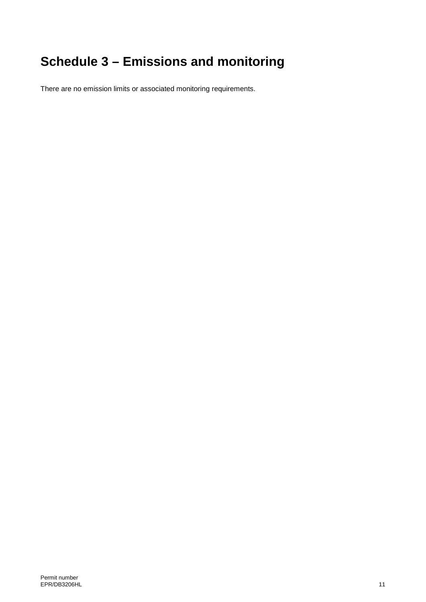# **Schedule 3 – Emissions and monitoring**

There are no emission limits or associated monitoring requirements.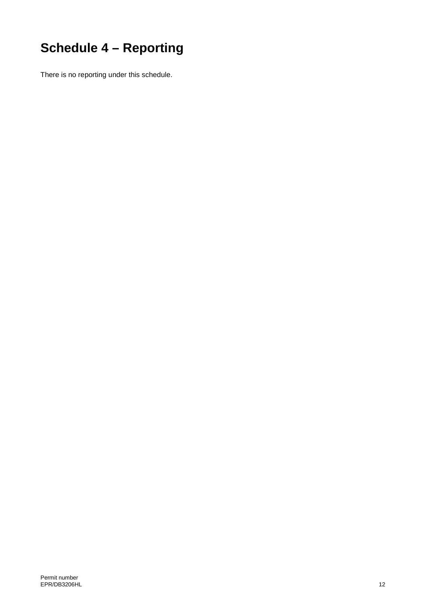# **Schedule 4 – Reporting**

There is no reporting under this schedule.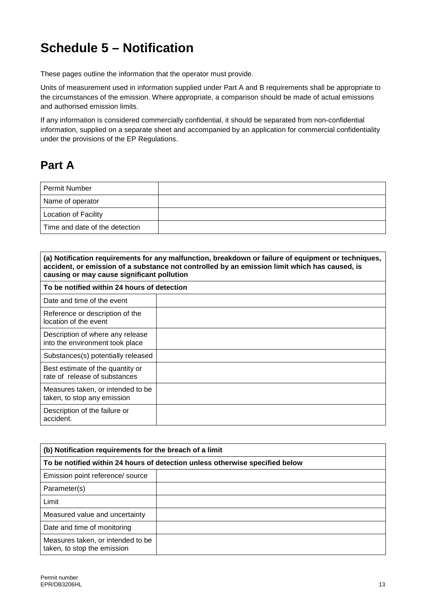## **Schedule 5 – Notification**

These pages outline the information that the operator must provide.

Units of measurement used in information supplied under Part A and B requirements shall be appropriate to the circumstances of the emission. Where appropriate, a comparison should be made of actual emissions and authorised emission limits.

If any information is considered commercially confidential, it should be separated from non-confidential information, supplied on a separate sheet and accompanied by an application for commercial confidentiality under the provisions of the EP Regulations.

## **Part A**

| Permit Number                  |  |
|--------------------------------|--|
| Name of operator               |  |
| <b>Location of Facility</b>    |  |
| Time and date of the detection |  |

| (a) Notification requirements for any malfunction, breakdown or failure of equipment or techniques,<br>accident, or emission of a substance not controlled by an emission limit which has caused, is<br>causing or may cause significant pollution |  |
|----------------------------------------------------------------------------------------------------------------------------------------------------------------------------------------------------------------------------------------------------|--|
| To be notified within 24 hours of detection                                                                                                                                                                                                        |  |
| Date and time of the event                                                                                                                                                                                                                         |  |
| Reference or description of the<br>location of the event                                                                                                                                                                                           |  |
| Description of where any release<br>into the environment took place                                                                                                                                                                                |  |
| Substances(s) potentially released                                                                                                                                                                                                                 |  |
| Best estimate of the quantity or<br>rate of release of substances                                                                                                                                                                                  |  |
| Measures taken, or intended to be<br>taken, to stop any emission                                                                                                                                                                                   |  |
| Description of the failure or<br>accident.                                                                                                                                                                                                         |  |

| (b) Notification requirements for the breach of a limit                      |  |  |
|------------------------------------------------------------------------------|--|--|
| To be notified within 24 hours of detection unless otherwise specified below |  |  |
| Emission point reference/ source                                             |  |  |
| Parameter(s)                                                                 |  |  |
| Limit                                                                        |  |  |
| Measured value and uncertainty                                               |  |  |
| Date and time of monitoring                                                  |  |  |
| Measures taken, or intended to be<br>taken, to stop the emission             |  |  |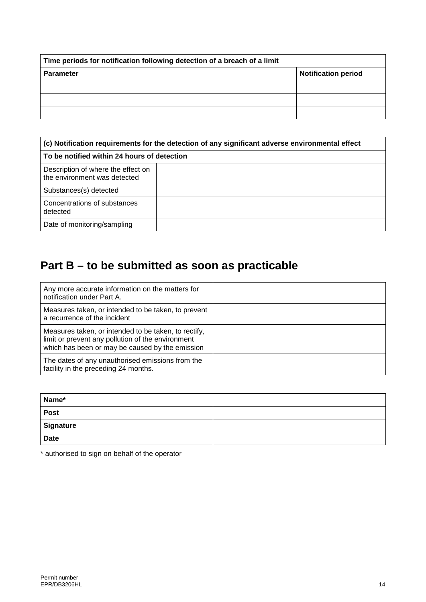| Time periods for notification following detection of a breach of a limit |                            |  |
|--------------------------------------------------------------------------|----------------------------|--|
| <b>Parameter</b>                                                         | <b>Notification period</b> |  |
|                                                                          |                            |  |
|                                                                          |                            |  |
|                                                                          |                            |  |

| (c) Notification requirements for the detection of any significant adverse environmental effect |  |  |
|-------------------------------------------------------------------------------------------------|--|--|
| To be notified within 24 hours of detection                                                     |  |  |
| Description of where the effect on<br>the environment was detected                              |  |  |
| Substances(s) detected                                                                          |  |  |
| Concentrations of substances<br>detected                                                        |  |  |
| Date of monitoring/sampling                                                                     |  |  |

## **Part B – to be submitted as soon as practicable**

| Any more accurate information on the matters for<br>notification under Part A.                                                                               |  |
|--------------------------------------------------------------------------------------------------------------------------------------------------------------|--|
| Measures taken, or intended to be taken, to prevent<br>a recurrence of the incident                                                                          |  |
| Measures taken, or intended to be taken, to rectify,<br>limit or prevent any pollution of the environment<br>which has been or may be caused by the emission |  |
| The dates of any unauthorised emissions from the<br>facility in the preceding 24 months.                                                                     |  |

| Name*       |  |
|-------------|--|
| <b>Post</b> |  |
| Signature   |  |
| <b>Date</b> |  |

\* authorised to sign on behalf of the operator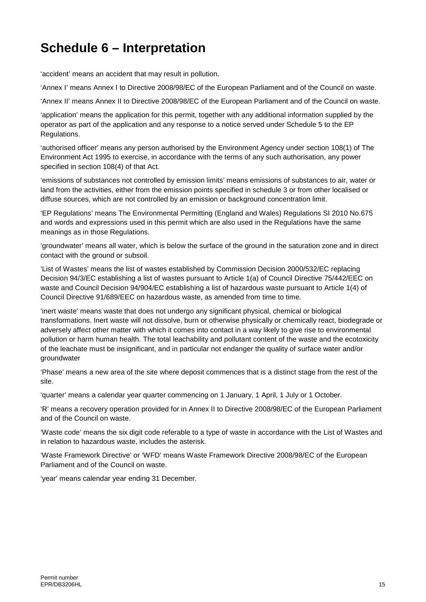## **Schedule 6 – Interpretation**

'accident' means an accident that may result in pollution.

'Annex I' means Annex I to Directive 2008/98/EC of the European Parliament and of the Council on waste.

'Annex II' means Annex II to Directive 2008/98/EC of the European Parliament and of the Council on waste.

'application' means the application for this permit, together with any additional information supplied by the operator as part of the application and any response to a notice served under Schedule 5 to the EP Regulations.

'authorised officer' means any person authorised by the Environment Agency under section 108(1) of The Environment Act 1995 to exercise, in accordance with the terms of any such authorisation, any power specified in section 108(4) of that Act.

'emissions of substances not controlled by emission limits' means emissions of substances to air, water or land from the activities, either from the emission points specified in schedule 3 or from other localised or diffuse sources, which are not controlled by an emission or background concentration limit.

'EP Regulations' means The Environmental Permitting (England and Wales) Regulations SI 2010 No.675 and words and expressions used in this permit which are also used in the Regulations have the same meanings as in those Regulations.

'groundwater' means all water, which is below the surface of the ground in the saturation zone and in direct contact with the ground or subsoil.

'List of Wastes' means the list of wastes established by Commission Decision [2000/532/EC](http://www.legislation.gov.uk/european/decision/2000/0532) replacing Decision [94/3/EC](http://www.legislation.gov.uk/european/decision/1994/0003) establishing a list of wastes pursuant to Article 1(a) of Council Directive [75/442/EEC](http://www.legislation.gov.uk/european/directive/1975/0442) on waste and Council Decision [94/904/EC](http://www.legislation.gov.uk/european/decision/1994/0904) establishing a list of hazardous waste pursuant to Article 1(4) of Council Directive [91/689/EEC](http://www.legislation.gov.uk/european/decision/1991/0689) on hazardous waste, as amended from time to time.

'inert waste' means waste that does not undergo any significant physical, chemical or biological transformations. Inert waste will not dissolve, burn or otherwise physically or chemically react, biodegrade or adversely affect other matter with which it comes into contact in a way likely to give rise to environmental pollution or harm human health. The total leachability and pollutant content of the waste and the ecotoxicity of the leachate must be insignificant, and in particular not endanger the quality of surface water and/or groundwater

'Phase' means a new area of the site where deposit commences that is a distinct stage from the rest of the site.

'quarter' means a calendar year quarter commencing on 1 January, 1 April, 1 July or 1 October.

'R' means a recovery operation provided for in Annex II to Directive 2008/98/EC of the European Parliament and of the Council on waste.

'Waste code' means the six digit code referable to a type of waste in accordance with the List of Wastes and in relation to hazardous waste, includes the asterisk.

'Waste Framework Directive' or 'WFD' means Waste Framework Directive 2008/98/EC of the European Parliament and of the Council on waste.

'year' means calendar year ending 31 December.